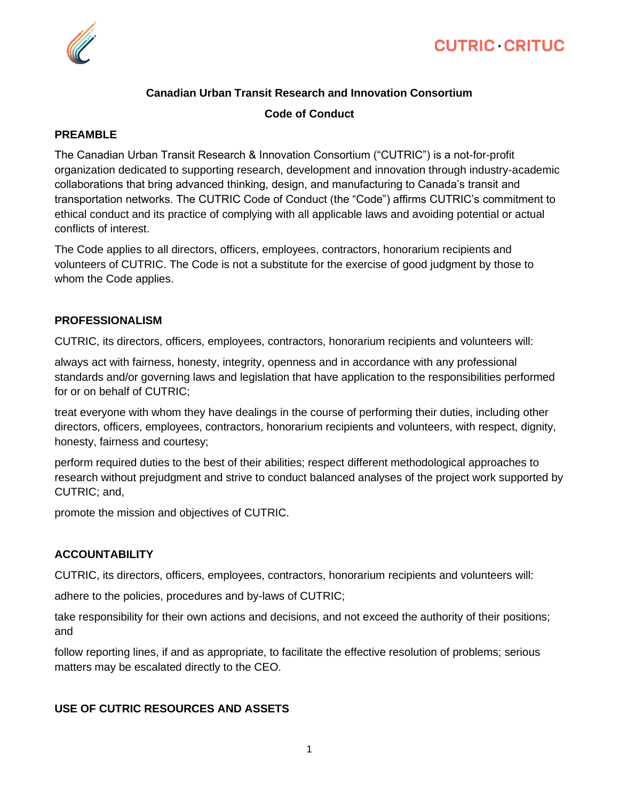

# **Canadian Urban Transit Research and Innovation Consortium**

# **Code of Conduct**

## **PREAMBLE**

The Canadian Urban Transit Research & Innovation Consortium ("CUTRIC") is a not-for-profit organization dedicated to supporting research, development and innovation through industry-academic collaborations that bring advanced thinking, design, and manufacturing to Canada's transit and transportation networks. The CUTRIC Code of Conduct (the "Code") affirms CUTRIC's commitment to ethical conduct and its practice of complying with all applicable laws and avoiding potential or actual conflicts of interest.

The Code applies to all directors, officers, employees, contractors, honorarium recipients and volunteers of CUTRIC. The Code is not a substitute for the exercise of good judgment by those to whom the Code applies.

## **PROFESSIONALISM**

CUTRIC, its directors, officers, employees, contractors, honorarium recipients and volunteers will:

always act with fairness, honesty, integrity, openness and in accordance with any professional standards and/or governing laws and legislation that have application to the responsibilities performed for or on behalf of CUTRIC;

treat everyone with whom they have dealings in the course of performing their duties, including other directors, officers, employees, contractors, honorarium recipients and volunteers, with respect, dignity, honesty, fairness and courtesy;

perform required duties to the best of their abilities; respect different methodological approaches to research without prejudgment and strive to conduct balanced analyses of the project work supported by CUTRIC; and,

promote the mission and objectives of CUTRIC.

## **ACCOUNTABILITY**

CUTRIC, its directors, officers, employees, contractors, honorarium recipients and volunteers will:

adhere to the policies, procedures and by-laws of CUTRIC;

take responsibility for their own actions and decisions, and not exceed the authority of their positions; and

follow reporting lines, if and as appropriate, to facilitate the effective resolution of problems; serious matters may be escalated directly to the CEO.

## **USE OF CUTRIC RESOURCES AND ASSETS**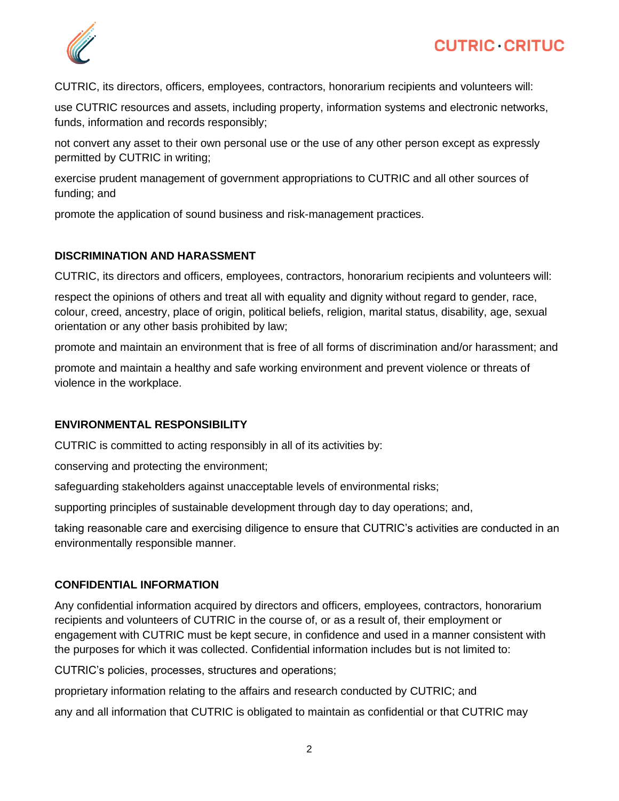

CUTRIC, its directors, officers, employees, contractors, honorarium recipients and volunteers will:

use CUTRIC resources and assets, including property, information systems and electronic networks, funds, information and records responsibly;

not convert any asset to their own personal use or the use of any other person except as expressly permitted by CUTRIC in writing;

exercise prudent management of government appropriations to CUTRIC and all other sources of funding; and

promote the application of sound business and risk-management practices.

# **DISCRIMINATION AND HARASSMENT**

CUTRIC, its directors and officers, employees, contractors, honorarium recipients and volunteers will:

respect the opinions of others and treat all with equality and dignity without regard to gender, race, colour, creed, ancestry, place of origin, political beliefs, religion, marital status, disability, age, sexual orientation or any other basis prohibited by law;

promote and maintain an environment that is free of all forms of discrimination and/or harassment; and

promote and maintain a healthy and safe working environment and prevent violence or threats of violence in the workplace.

# **ENVIRONMENTAL RESPONSIBILITY**

CUTRIC is committed to acting responsibly in all of its activities by:

conserving and protecting the environment;

safeguarding stakeholders against unacceptable levels of environmental risks;

supporting principles of sustainable development through day to day operations; and,

taking reasonable care and exercising diligence to ensure that CUTRIC's activities are conducted in an environmentally responsible manner.

## **CONFIDENTIAL INFORMATION**

Any confidential information acquired by directors and officers, employees, contractors, honorarium recipients and volunteers of CUTRIC in the course of, or as a result of, their employment or engagement with CUTRIC must be kept secure, in confidence and used in a manner consistent with the purposes for which it was collected. Confidential information includes but is not limited to:

CUTRIC's policies, processes, structures and operations;

proprietary information relating to the affairs and research conducted by CUTRIC; and

any and all information that CUTRIC is obligated to maintain as confidential or that CUTRIC may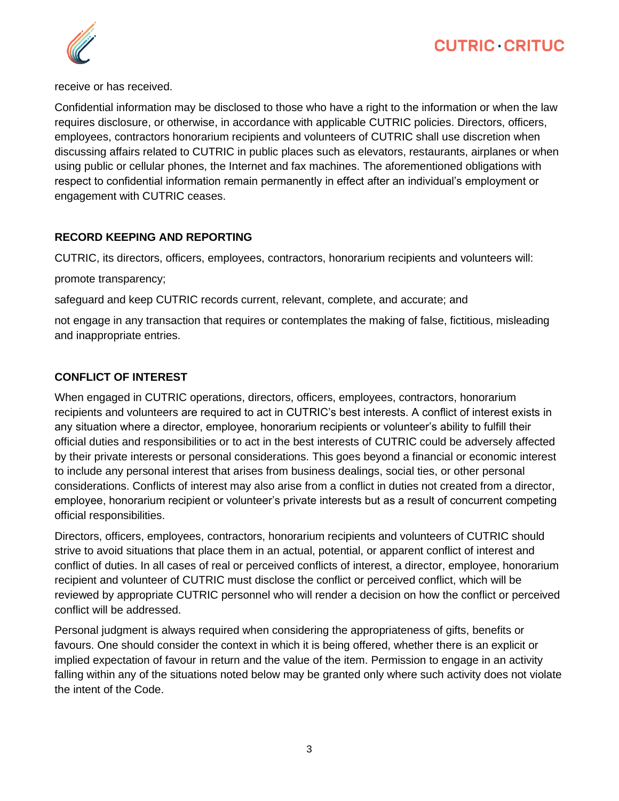



receive or has received.

Confidential information may be disclosed to those who have a right to the information or when the law requires disclosure, or otherwise, in accordance with applicable CUTRIC policies. Directors, officers, employees, contractors honorarium recipients and volunteers of CUTRIC shall use discretion when discussing affairs related to CUTRIC in public places such as elevators, restaurants, airplanes or when using public or cellular phones, the Internet and fax machines. The aforementioned obligations with respect to confidential information remain permanently in effect after an individual's employment or engagement with CUTRIC ceases.

# **RECORD KEEPING AND REPORTING**

CUTRIC, its directors, officers, employees, contractors, honorarium recipients and volunteers will:

promote transparency;

safeguard and keep CUTRIC records current, relevant, complete, and accurate; and

not engage in any transaction that requires or contemplates the making of false, fictitious, misleading and inappropriate entries.

# **CONFLICT OF INTEREST**

When engaged in CUTRIC operations, directors, officers, employees, contractors, honorarium recipients and volunteers are required to act in CUTRIC's best interests. A conflict of interest exists in any situation where a director, employee, honorarium recipients or volunteer's ability to fulfill their official duties and responsibilities or to act in the best interests of CUTRIC could be adversely affected by their private interests or personal considerations. This goes beyond a financial or economic interest to include any personal interest that arises from business dealings, social ties, or other personal considerations. Conflicts of interest may also arise from a conflict in duties not created from a director, employee, honorarium recipient or volunteer's private interests but as a result of concurrent competing official responsibilities.

Directors, officers, employees, contractors, honorarium recipients and volunteers of CUTRIC should strive to avoid situations that place them in an actual, potential, or apparent conflict of interest and conflict of duties. In all cases of real or perceived conflicts of interest, a director, employee, honorarium recipient and volunteer of CUTRIC must disclose the conflict or perceived conflict, which will be reviewed by appropriate CUTRIC personnel who will render a decision on how the conflict or perceived conflict will be addressed.

Personal judgment is always required when considering the appropriateness of gifts, benefits or favours. One should consider the context in which it is being offered, whether there is an explicit or implied expectation of favour in return and the value of the item. Permission to engage in an activity falling within any of the situations noted below may be granted only where such activity does not violate the intent of the Code.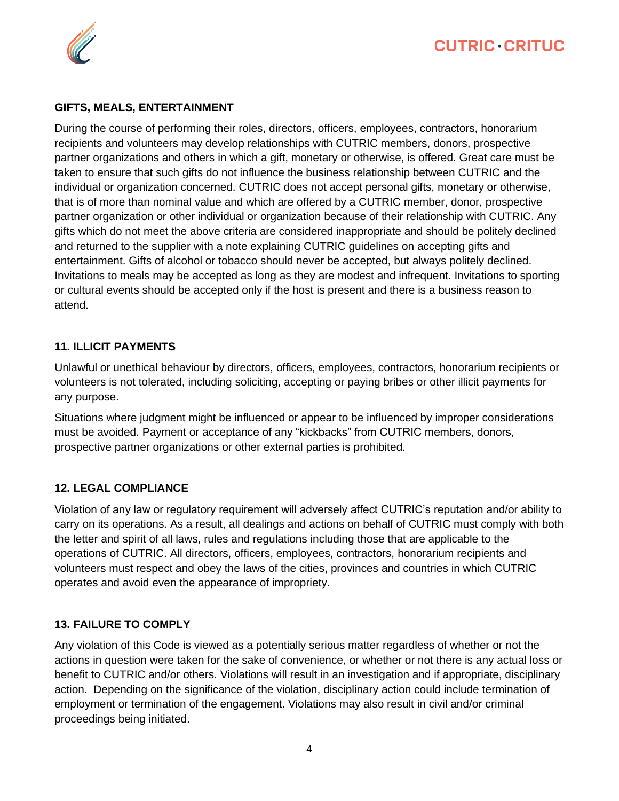

# **CUTRIC CRITUC**

#### **GIFTS, MEALS, ENTERTAINMENT**

During the course of performing their roles, directors, officers, employees, contractors, honorarium recipients and volunteers may develop relationships with CUTRIC members, donors, prospective partner organizations and others in which a gift, monetary or otherwise, is offered. Great care must be taken to ensure that such gifts do not influence the business relationship between CUTRIC and the individual or organization concerned. CUTRIC does not accept personal gifts, monetary or otherwise, that is of more than nominal value and which are offered by a CUTRIC member, donor, prospective partner organization or other individual or organization because of their relationship with CUTRIC. Any gifts which do not meet the above criteria are considered inappropriate and should be politely declined and returned to the supplier with a note explaining CUTRIC guidelines on accepting gifts and entertainment. Gifts of alcohol or tobacco should never be accepted, but always politely declined. Invitations to meals may be accepted as long as they are modest and infrequent. Invitations to sporting or cultural events should be accepted only if the host is present and there is a business reason to attend.

## **11. ILLICIT PAYMENTS**

Unlawful or unethical behaviour by directors, officers, employees, contractors, honorarium recipients or volunteers is not tolerated, including soliciting, accepting or paying bribes or other illicit payments for any purpose.

Situations where judgment might be influenced or appear to be influenced by improper considerations must be avoided. Payment or acceptance of any "kickbacks" from CUTRIC members, donors, prospective partner organizations or other external parties is prohibited.

#### **12. LEGAL COMPLIANCE**

Violation of any law or regulatory requirement will adversely affect CUTRIC's reputation and/or ability to carry on its operations. As a result, all dealings and actions on behalf of CUTRIC must comply with both the letter and spirit of all laws, rules and regulations including those that are applicable to the operations of CUTRIC. All directors, officers, employees, contractors, honorarium recipients and volunteers must respect and obey the laws of the cities, provinces and countries in which CUTRIC operates and avoid even the appearance of impropriety.

## **13. FAILURE TO COMPLY**

Any violation of this Code is viewed as a potentially serious matter regardless of whether or not the actions in question were taken for the sake of convenience, or whether or not there is any actual loss or benefit to CUTRIC and/or others. Violations will result in an investigation and if appropriate, disciplinary action. Depending on the significance of the violation, disciplinary action could include termination of employment or termination of the engagement. Violations may also result in civil and/or criminal proceedings being initiated.